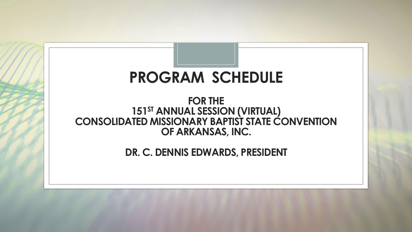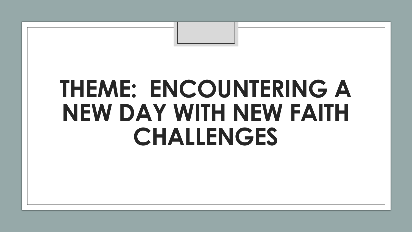## **THEME: ENCOUNTERING A NEW DAY WITH NEW FAITH CHALLENGES**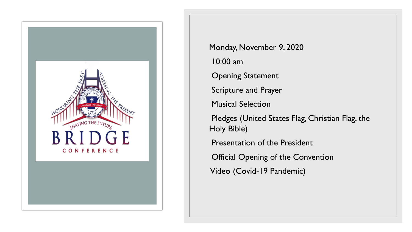

Monday, November 9, 2020 10:00 am Opening Statement Scripture and Prayer Musical Selection Pledges (United States Flag, Christian Flag, the Holy Bible) Presentation of the President Official Opening of the Convention Video (Covid-19 Pandemic)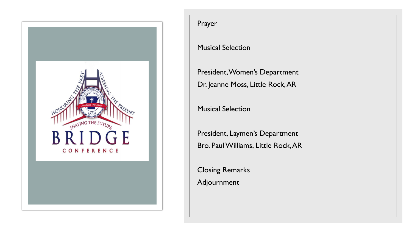

## Prayer

## Musical Selection

President, Women's Department Dr. Jeanne Moss, Little Rock, AR

Musical Selection

President, Laymen's Department Bro. Paul Williams, Little Rock, AR

Closing Remarks Adjournment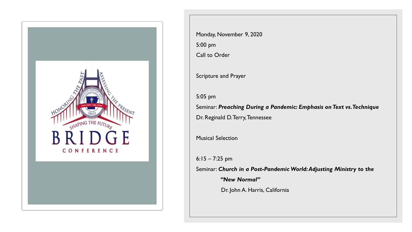

Monday, November 9, 2020 5:00 pm Call to Order Scripture and Prayer 5:05 pm Seminar: *Preaching During a Pandemic: Emphasis on Text vs. Technique* Dr. Reginald D. Terry, Tennessee Musical Selection 6:15 – 7:25 pm Seminar: *Church in a Post-Pandemic World: Adjusting Ministry to the "New Normal"*

Dr. John A. Harris, California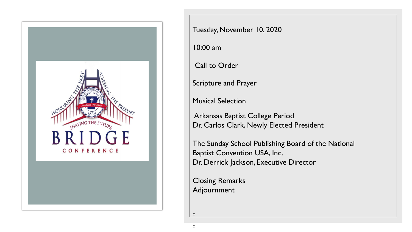

Tuesday, November 10, 2020

10:00 am

Call to Order

Scripture and Prayer

Musical Selection

Arkansas Baptist College Period Dr. Carlos Clark, Newly Elected President

The Sunday School Publishing Board of the National Baptist Convention USA, Inc. Dr. Derrick Jackson, Executive Director

Closing Remarks Adjournment

 $\circ$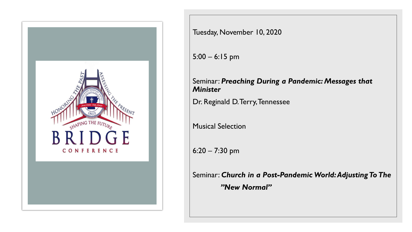

Tuesday, November 10, 2020

5:00 – 6:15 pm

## Seminar: *Preaching During a Pandemic: Messages that Minister*

Dr. Reginald D. Terry, Tennessee

Musical Selection

6:20 – 7:30 pm

Seminar: *Church in a Post-Pandemic World: Adjusting To The "New Normal"*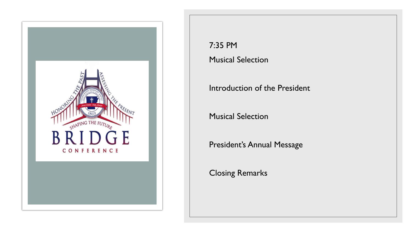

7:35 PM Musical Selection

Introduction of the President

Musical Selection

President's Annual Message

Closing Remarks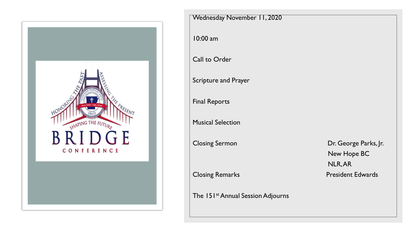

| Wednesday November 11, 2020                   |                                                 |
|-----------------------------------------------|-------------------------------------------------|
| 10:00 am                                      |                                                 |
| Call to Order                                 |                                                 |
| <b>Scripture and Prayer</b>                   |                                                 |
| <b>Final Reports</b>                          |                                                 |
| <b>Musical Selection</b>                      |                                                 |
| <b>Closing Sermon</b>                         | Dr. George Parks, Jr.<br>New Hope BC<br>NLR, AR |
| <b>Closing Remarks</b>                        | <b>President Edwards</b>                        |
| The 151 <sup>st</sup> Annual Session Adjourns |                                                 |